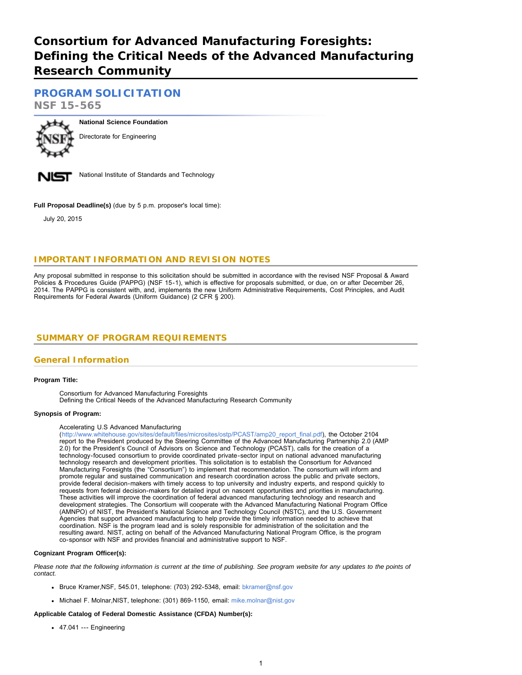# **Consortium for Advanced Manufacturing Foresights: Defining the Critical Needs of the Advanced Manufacturing Research Community**

**[PROGRAM SOLICITATION](#page-1-0)**

**NSF 15-565**



**National Science Foundation** Directorate for Engineering



National Institute of Standards and Technology

**Full Proposal Deadline(s)** (due by 5 p.m. proposer's local time):

July 20, 2015

# **IMPORTANT INFORMATION AND REVISION NOTES**

Any proposal submitted in response to this solicitation should be submitted in accordance with the revised NSF Proposal & Award Policies & Procedures Guide (PAPPG) (NSF 15-1), which is effective for proposals submitted, or due, on or after December 26, 2014. The PAPPG is consistent with, and, implements the new Uniform Administrative Requirements, Cost Principles, and Audit Requirements for Federal Awards (Uniform Guidance) (2 CFR § 200).

# <span id="page-0-0"></span> **SUMMARY OF PROGRAM REQUIREMENTS**

## **General Information**

### **Program Title:**

Consortium for Advanced Manufacturing Foresights

Defining the Critical Needs of the Advanced Manufacturing Research Community

#### **Synopsis of Program:**

### Accelerating U.S Advanced Manufacturing

([http://www.whitehouse.gov/sites/default/files/microsites/ostp/PCAST/amp20\\_report\\_final.pdf](http://www.whitehouse.gov/sites/default/files/microsites/ostp/PCAST/amp20_report_final.pdf)), the October 2104 report to the President produced by the Steering Committee of the Advanced Manufacturing Partnership 2.0 (AMP 2.0) for the President's Council of Advisors on Science and Technology (PCAST), calls for the creation of a technology-focused consortium to provide coordinated private-sector input on national advanced manufacturing technology research and development priorities. This solicitation is to establish the Consortium for Advanced Manufacturing Foresights (the "Consortium") to implement that recommendation. The consortium will inform and promote regular and sustained communication and research coordination across the public and private sectors, provide federal decision-makers with timely access to top university and industry experts, and respond quickly to requests from federal decision-makers for detailed input on nascent opportunities and priorities in manufacturing. These activities will improve the coordination of federal advanced manufacturing technology and research and development strategies. The Consortium will cooperate with the Advanced Manufacturing National Program Office (AMNPO) of NIST, the President's National Science and Technology Council (NSTC), and the U.S. Government Agencies that support advanced manufacturing to help provide the timely information needed to achieve that coordination. NSF is the program lead and is solely responsible for administration of the solicitation and the resulting award. NIST, acting on behalf of the Advanced Manufacturing National Program Office, is the program co-sponsor with NSF and provides financial and administrative support to NSF.

#### **Cognizant Program Officer(s):**

*Please note that the following information is current at the time of publishing. See program website for any updates to the points of contact.*

- Bruce Kramer, NSF, 545.01, telephone: (703) 292-5348, email: [bkramer@nsf.gov](mailto:bkramer@nsf.gov)
- Michael F. Molnar, NIST, telephone: (301) 869-1150, email: [mike.molnar@nist.gov](mailto:mike.molnar@nist.gov)

### **Applicable Catalog of Federal Domestic Assistance (CFDA) Number(s):**

47.041 --- Engineering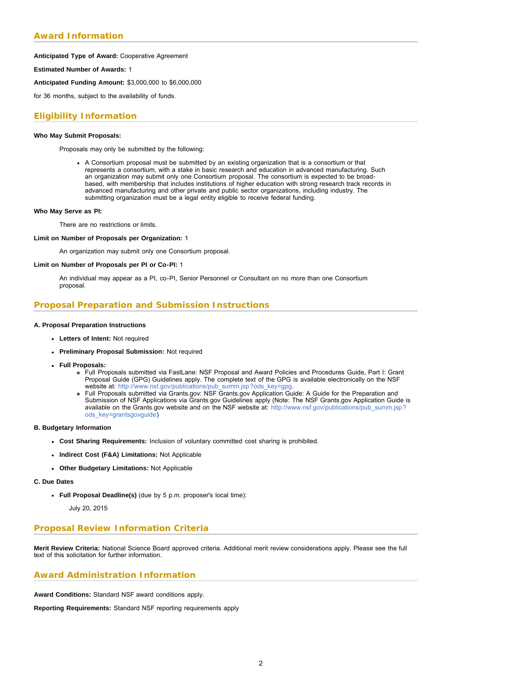# **Award Information**

#### **Anticipated Type of Award:** Cooperative Agreement

#### **Estimated Number of Awards:** 1

**Anticipated Funding Amount:** \$3,000,000 to \$6,000,000

for 36 months, subject to the availability of funds.

## **Eligibility Information**

#### **Who May Submit Proposals:**

Proposals may only be submitted by the following:

A Consortium proposal must be submitted by an existing organization that is a consortium or that represents a consortium, with a stake in basic research and education in advanced manufacturing. Such an organization may submit only one Consortium proposal. The consortium is expected to be broadbased, with membership that includes institutions of higher education with strong research track records in advanced manufacturing and other private and public sector organizations, including industry. The submitting organization must be a legal entity eligible to receive federal funding.

#### **Who May Serve as PI:**

There are no restrictions or limits.

#### **Limit on Number of Proposals per Organization:** 1

An organization may submit only one Consortium proposal.

#### **Limit on Number of Proposals per PI or Co-PI:** 1

An individual may appear as a PI, co-PI, Senior Personnel or Consultant on no more than one Consortium proposal.

### **Proposal Preparation and Submission Instructions**

#### **A. Proposal Preparation Instructions**

- **Letters of Intent:** Not required
- **Preliminary Proposal Submission:** Not required
- **Full Proposals:**
	- Full Proposals submitted via FastLane: NSF Proposal and Award Policies and Procedures Guide, Part I: Grant Proposal Guide (GPG) Guidelines apply. The complete text of the GPG is available electronically on the NSF website at: http://www.nsf.gov/publications/pub\_summ.jsp?ods\_key=gpg
	- Full Proposals submitted via Grants.gov: NSF Grants.gov Application Guide: A Guide for the Preparation and Submission of NSF Applications via Grants.gov Guidelines apply (Note: The NSF Grants.gov Application Guide is available on the Grants.gov website and on the NSF website at: [http://www.nsf.gov/publications/pub\\_summ.jsp?](http://www.nsf.gov/publications/pub_summ.jsp?ods_key=grantsgovguide) [ods\\_key=grantsgovguide\)](http://www.nsf.gov/publications/pub_summ.jsp?ods_key=grantsgovguide)

#### **B. Budgetary Information**

- **Cost Sharing Requirements:** Inclusion of voluntary committed cost sharing is prohibited.
- **Indirect Cost (F&A) Limitations:** Not Applicable
- **Other Budgetary Limitations:** Not Applicable
- **C. Due Dates**
	- **Full Proposal Deadline(s)** (due by 5 p.m. proposer's local time):

July 20, 2015

### **Proposal Review Information Criteria**

**Merit Review Criteria:** National Science Board approved criteria. Additional merit review considerations apply. Please see the full text of this solicitation for further information.

### **Award Administration Information**

**Award Conditions:** Standard NSF award conditions apply.

<span id="page-1-0"></span>**Reporting Requirements:** Standard NSF reporting requirements apply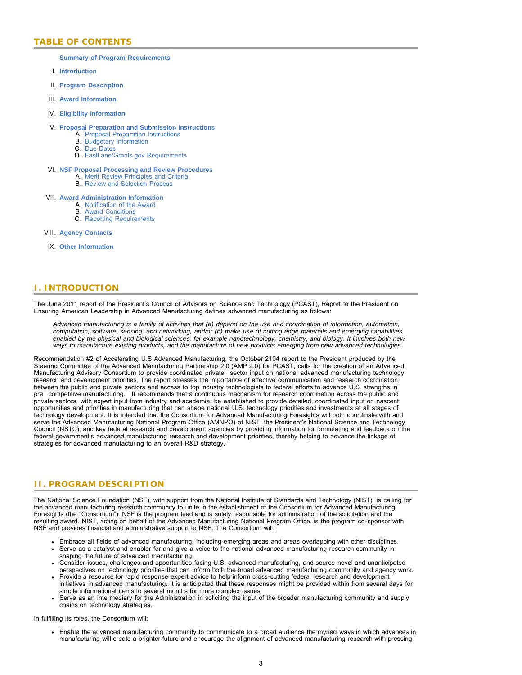# **TABLE OF CONTENTS**

#### **[Summary of Program Requirements](#page-0-0)**

- I. **[Introduction](#page-2-0)**
- II. **[Program Description](#page-2-1)**
- III. **[Award Information](#page-3-0)**
- IV. **[Eligibility Information](#page-3-1)**

#### V. **[Proposal Preparation and Submission Instructions](#page-4-0)**

- A. [Proposal Preparation Instructions](#page-4-0)
- B. [Budgetary Information](#page-4-1)
- C. [Due Dates](#page-4-2)
- D. [FastLane/Grants.gov Requirements](#page-4-3)

#### VI. **[NSF Proposal Processing and Review Procedures](#page-5-0)**

- A. [Merit Review Principles and Criteria](#page-5-1)
- B. [Review and Selection Process](#page-6-0)

#### VII. **[Award Administration Information](#page-7-0)**

- A. [Notification of the Award](#page-7-1)
- B. [Award Conditions](#page-7-2)
- C. [Reporting Requirements](#page-7-3)

#### VIII. **[Agency Contacts](#page-7-4)**

IX. **[Other Information](#page-8-0)**

# <span id="page-2-0"></span>**I. INTRODUCTION**

The June 2011 report of the President's Council of Advisors on Science and Technology (PCAST), Report to the President on Ensuring American Leadership in Advanced Manufacturing defines advanced manufacturing as follows:

*Advanced manufacturing is a family of activities that (a) depend on the use and coordination of information, automation, computation, software, sensing, and networking, and/or (b) make use of cutting edge materials and emerging capabilities enabled by the physical and biological sciences, for example nanotechnology, chemistry, and biology. It involves both new ways to manufacture existing products, and the manufacture of new products emerging from new advanced technologies.*

Recommendation #2 of Accelerating U.S Advanced Manufacturing, the October 2104 report to the President produced by the Steering Committee of the Advanced Manufacturing Partnership 2.0 (AMP 2.0) for PCAST, calls for the creation of an Advanced Manufacturing Advisory Consortium to provide coordinated private sector input on national advanced manufacturing technology research and development priorities. The report stresses the importance of effective communication and research coordination between the public and private sectors and access to top industry technologists to federal efforts to advance U.S. strengths in pre competitive manufacturing. It recommends that a continuous mechanism for research coordination across the public and private sectors, with expert input from industry and academia, be established to provide detailed, coordinated input on nascent opportunities and priorities in manufacturing that can shape national U.S. technology priorities and investments at all stages of technology development. It is intended that the Consortium for Advanced Manufacturing Foresights will both coordinate with and serve the Advanced Manufacturing National Program Office (AMNPO) of NIST, the President's National Science and Technology Council (NSTC), and key federal research and development agencies by providing information for formulating and feedback on the federal government's advanced manufacturing research and development priorities, thereby helping to advance the linkage of strategies for advanced manufacturing to an overall R&D strategy.

### <span id="page-2-1"></span>**II. PROGRAM DESCRIPTION**

The National Science Foundation (NSF), with support from the National Institute of Standards and Technology (NIST), is calling for the advanced manufacturing research community to unite in the establishment of the Consortium for Advanced Manufacturing Foresights (the "Consortium"). NSF is the program lead and is solely responsible for administration of the solicitation and the resulting award. NIST, acting on behalf of the Advanced Manufacturing National Program Office, is the program co-sponsor with NSF and provides financial and administrative support to NSF. The Consortium will:

- Embrace all fields of advanced manufacturing, including emerging areas and areas overlapping with other disciplines.
- Serve as a catalyst and enabler for and give a voice to the national advanced manufacturing research community in shaping the future of advanced manufacturing.
- Consider issues, challenges and opportunities facing U.S. advanced manufacturing, and source novel and unanticipated perspectives on technology priorities that can inform both the broad advanced manufacturing community and agency work.
- Provide a resource for rapid response expert advice to help inform cross-cutting federal research and development initiatives in advanced manufacturing. It is anticipated that these responses might be provided within from several days for simple informational items to several months for more complex issues.
- Serve as an intermediary for the Administration in soliciting the input of the broader manufacturing community and supply chains on technology strategies.

In fulfilling its roles, the Consortium will:

Enable the advanced manufacturing community to communicate to a broad audience the myriad ways in which advances in manufacturing will create a brighter future and encourage the alignment of advanced manufacturing research with pressing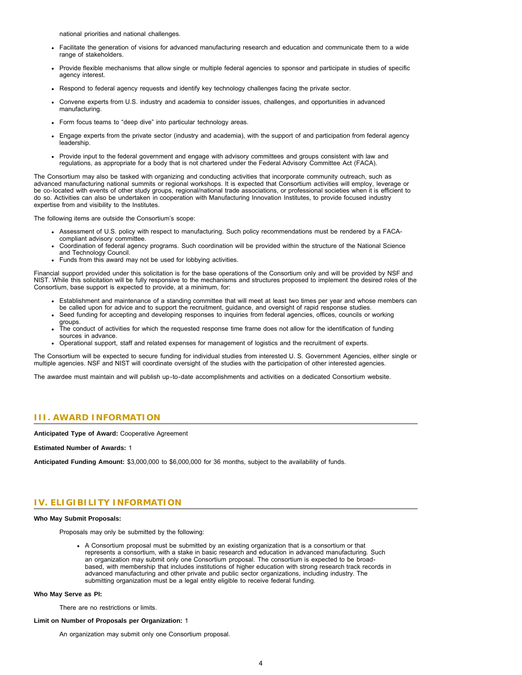national priorities and national challenges.

- Facilitate the generation of visions for advanced manufacturing research and education and communicate them to a wide range of stakeholders.
- Provide flexible mechanisms that allow single or multiple federal agencies to sponsor and participate in studies of specific agency interest.
- Respond to federal agency requests and identify key technology challenges facing the private sector.
- Convene experts from U.S. industry and academia to consider issues, challenges, and opportunities in advanced manufacturing.
- Form focus teams to "deep dive" into particular technology areas.
- Engage experts from the private sector (industry and academia), with the support of and participation from federal agency leadership.
- Provide input to the federal government and engage with advisory committees and groups consistent with law and regulations, as appropriate for a body that is not chartered under the Federal Advisory Committee Act (FACA).

The Consortium may also be tasked with organizing and conducting activities that incorporate community outreach, such as advanced manufacturing national summits or regional workshops. It is expected that Consortium activities will employ, leverage or be co-located with events of other study groups, regional/national trade associations, or professional societies when it is efficient to do so. Activities can also be undertaken in cooperation with Manufacturing Innovation Institutes, to provide focused industry expertise from and visibility to the Institutes.

The following items are outside the Consortium's scope:

- Assessment of U.S. policy with respect to manufacturing. Such policy recommendations must be rendered by a FACAcompliant advisory committee.
- Coordination of federal agency programs. Such coordination will be provided within the structure of the National Science and Technology Council.
- Funds from this award may not be used for lobbying activities.

Financial support provided under this solicitation is for the base operations of the Consortium only and will be provided by NSF and NIST. While this solicitation will be fully responsive to the mechanisms and structures proposed to implement the desired roles of the Consortium, base support is expected to provide, at a minimum, for:

- Establishment and maintenance of a standing committee that will meet at least two times per year and whose members can be called upon for advice and to support the recruitment, guidance, and oversight of rapid response studies.
- Seed funding for accepting and developing responses to inquiries from federal agencies, offices, councils or working groups.
- The conduct of activities for which the requested response time frame does not allow for the identification of funding sources in advance.
- Operational support, staff and related expenses for management of logistics and the recruitment of experts.

The Consortium will be expected to secure funding for individual studies from interested U. S. Government Agencies, either single or multiple agencies. NSF and NIST will coordinate oversight of the studies with the participation of other interested agencies.

The awardee must maintain and will publish up-to-date accomplishments and activities on a dedicated Consortium website.

### <span id="page-3-0"></span>**III. AWARD INFORMATION**

**Anticipated Type of Award:** Cooperative Agreement

#### **Estimated Number of Awards:** 1

**Anticipated Funding Amount:** \$3,000,000 to \$6,000,000 for 36 months, subject to the availability of funds.

### <span id="page-3-1"></span>**IV. ELIGIBILITY INFORMATION**

#### **Who May Submit Proposals:**

Proposals may only be submitted by the following:

A Consortium proposal must be submitted by an existing organization that is a consortium or that represents a consortium, with a stake in basic research and education in advanced manufacturing. Such an organization may submit only one Consortium proposal. The consortium is expected to be broadbased, with membership that includes institutions of higher education with strong research track records in advanced manufacturing and other private and public sector organizations, including industry. The submitting organization must be a legal entity eligible to receive federal funding.

#### **Who May Serve as PI:**

There are no restrictions or limits.

#### **Limit on Number of Proposals per Organization:** 1

An organization may submit only one Consortium proposal.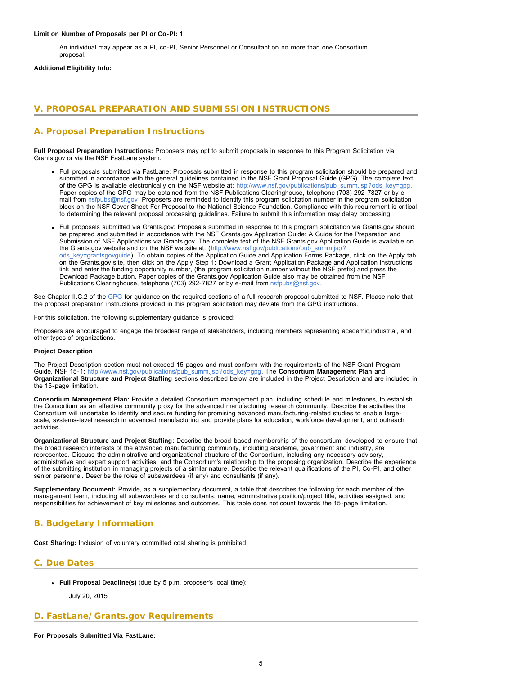#### **Limit on Number of Proposals per PI or Co-PI:** 1

An individual may appear as a PI, co-PI, Senior Personnel or Consultant on no more than one Consortium proposal.

#### **Additional Eligibility Info:**

# <span id="page-4-0"></span>**V. PROPOSAL PREPARATION AND SUBMISSION INSTRUCTIONS**

# **A. Proposal Preparation Instructions**

**Full Proposal Preparation Instructions:** Proposers may opt to submit proposals in response to this Program Solicitation via Grants.gov or via the NSF FastLane system.

- Full proposals submitted via FastLane: Proposals submitted in response to this program solicitation should be prepared and submitted in accordance with the general guidelines contained in the NSF Grant Proposal Guide (GPG). The complete text of the GPG is available electronically on the NSF website at: [http://www.nsf.gov/publications/pub\\_summ.jsp?ods\\_key=gpg.](http://www.nsf.gov/publications/pub_summ.jsp?ods_key=gpg) Paper copies of the GPG may be obtained from the NSF Publications Clearinghouse, telephone (703) 292-7827 or by email from [nsfpubs@nsf.gov.](mailto:nsfpubs@nsf.gov) Proposers are reminded to identify this program solicitation number in the program solicitation block on the NSF Cover Sheet For Proposal to the National Science Foundation. Compliance with this requirement is critical to determining the relevant proposal processing guidelines. Failure to submit this information may delay processing.
- Full proposals submitted via Grants.gov: Proposals submitted in response to this program solicitation via Grants.gov should be prepared and submitted in accordance with the NSF Grants.gov Application Guide: A Guide for the Preparation and Submission of NSF Applications via Grants.gov. The complete text of the NSF Grants.gov Application Guide is available on the Grants.gov website and on the NSF website at: ([http://www.nsf.gov/publications/pub\\_summ.jsp?](http://www.nsf.gov/publications/pub_summ.jsp?ods_key=grantsgovguide) [ods\\_key=grantsgovguide\)](http://www.nsf.gov/publications/pub_summ.jsp?ods_key=grantsgovguide). To obtain copies of the Application Guide and Application Forms Package, click on the Apply tab on the Grants.gov site, then click on the Apply Step 1: Download a Grant Application Package and Application Instructions link and enter the funding opportunity number, (the program solicitation number without the NSF prefix) and press the Download Package button. Paper copies of the Grants.gov Application Guide also may be obtained from the NSF Publications Clearinghouse, telephone (703) 292-7827 or by e-mail from [nsfpubs@nsf.gov.](mailto:nsfpubs@nsf.gov)

See Chapter II.C.2 of the [GPG](http://www.nsf.gov/publications/pub_summ.jsp?ods_key=gpg) for guidance on the required sections of a full research proposal submitted to NSF. Please note that the proposal preparation instructions provided in this program solicitation may deviate from the GPG instructions.

For this solicitation, the following supplementary guidance is provided:

Proposers are encouraged to engage the broadest range of stakeholders, including members representing academic,industrial, and other types of organizations.

#### **Project Description**

The Project Description section must not exceed 15 pages and must conform with the requirements of the NSF Grant Program Guide, NSF 15-1: http://www.nsf.gov/publications/pub\_summ.jsp?ods\_key=gpg\_The **Consortium Management Plan** and **Organizational Structure and Project Staffing** sections described below are included in the Project Description and are included in the 15-page limitation.

**Consortium Management Plan:** Provide a detailed Consortium management plan, including schedule and milestones, to establish the Consortium as an effective community proxy for the advanced manufacturing research community. Describe the activities the Consortium will undertake to identify and secure funding for promising advanced manufacturing-related studies to enable largescale, systems-level research in advanced manufacturing and provide plans for education, workforce development, and outreach activities.

**Organizational Structure and Project Staffing**: Describe the broad-based membership of the consortium, developed to ensure that the broad research interests of the advanced manufacturing community, including academe, government and industry, are represented. Discuss the administrative and organizational structure of the Consortium, including any necessary advisory, administrative and expert support activities, and the Consortium's relationship to the proposing organization. Describe the experience of the submitting institution in managing projects of a similar nature. Describe the relevant qualifications of the PI, Co-PI, and other senior personnel. Describe the roles of subawardees (if any) and consultants (if any).

**Supplementary Document:** Provide, as a supplementary document, a table that describes the following for each member of the management team, including all subawardees and consultants: name, administrative position/project title, activities assigned, and responsibilities for achievement of key milestones and outcomes. This table does not count towards the 15-page limitation.

# <span id="page-4-1"></span>**B. Budgetary Information**

**Cost Sharing:** Inclusion of voluntary committed cost sharing is prohibited

## <span id="page-4-2"></span>**C. Due Dates**

**Full Proposal Deadline(s)** (due by 5 p.m. proposer's local time):

July 20, 2015

## <span id="page-4-3"></span>**D. FastLane/Grants.gov Requirements**

**For Proposals Submitted Via FastLane:**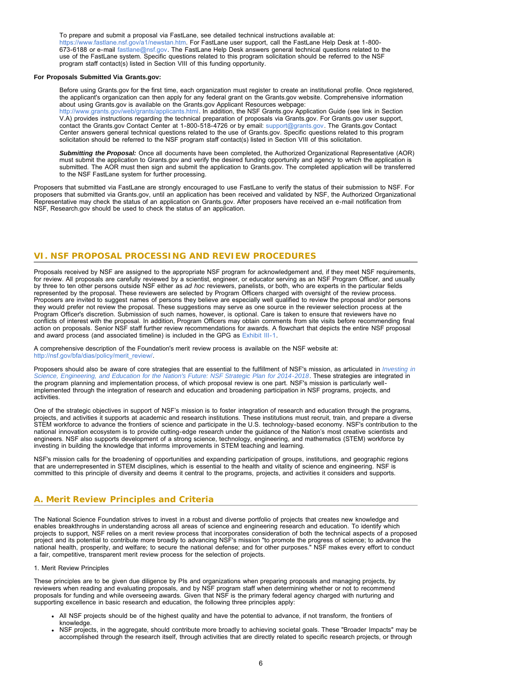To prepare and submit a proposal via FastLane, see detailed technical instructions available at: [https://www.fastlane.nsf.gov/a1/newstan.htm.](https://www.fastlane.nsf.gov/a1/newstan.htm) For FastLane user support, call the FastLane Help Desk at 1-800- 673-6188 or e-mail [fastlane@nsf.gov.](mailto:fastlane@nsf.gov) The FastLane Help Desk answers general technical questions related to the use of the FastLane system. Specific questions related to this program solicitation should be referred to the NSF program staff contact(s) listed in Section VIII of this funding opportunity.

#### **For Proposals Submitted Via Grants.gov:**

Before using Grants.gov for the first time, each organization must register to create an institutional profile. Once registered, the applicant's organization can then apply for any federal grant on the Grants.gov website. Comprehensive information about using Grants.gov is available on the Grants.gov Applicant Resources webpage: [http://www.grants.gov/web/grants/applicants.html.](http://www.grants.gov/web/grants/applicants.html) In addition, the NSF Grants.gov Application Guide (see link in Section V.A) provides instructions regarding the technical preparation of proposals via Grants.gov. For Grants.gov user support, contact the Grants.gov Contact Center at 1-800-518-4726 or by email: [support@grants.gov](mailto:support@grants.gov). The Grants.gov Contact Center answers general technical questions related to the use of Grants.gov. Specific questions related to this program solicitation should be referred to the NSF program staff contact(s) listed in Section VIII of this solicitation.

*Submitting the Proposal:* Once all documents have been completed, the Authorized Organizational Representative (AOR) must submit the application to Grants.gov and verify the desired funding opportunity and agency to which the application is submitted. The AOR must then sign and submit the application to Grants.gov. The completed application will be transferred to the NSF FastLane system for further processing.

Proposers that submitted via FastLane are strongly encouraged to use FastLane to verify the status of their submission to NSF. For proposers that submitted via Grants.gov, until an application has been received and validated by NSF, the Authorized Organizational Representative may check the status of an application on Grants.gov. After proposers have received an e-mail notification from NSF, Research.gov should be used to check the status of an application.

# <span id="page-5-0"></span>**VI. NSF PROPOSAL PROCESSING AND REVIEW PROCEDURES**

Proposals received by NSF are assigned to the appropriate NSF program for acknowledgement and, if they meet NSF requirements, for review. All proposals are carefully reviewed by a scientist, engineer, or educator serving as an NSF Program Officer, and usually by three to ten other persons outside NSF either as *ad hoc* reviewers, panelists, or both, who are experts in the particular fields represented by the proposal. These reviewers are selected by Program Officers charged with oversight of the review process. Proposers are invited to suggest names of persons they believe are especially well qualified to review the proposal and/or persons they would prefer not review the proposal. These suggestions may serve as one source in the reviewer selection process at the Program Officer's discretion. Submission of such names, however, is optional. Care is taken to ensure that reviewers have no conflicts of interest with the proposal. In addition, Program Officers may obtain comments from site visits before recommending final action on proposals. Senior NSF staff further review recommendations for awards. A flowchart that depicts the entire NSF proposal and award process (and associated timeline) is included in the GPG as [Exhibit III-1](http://www.nsf.gov/pubs/policydocs/pappguide/nsf14001/gpg_3ex1.pdf).

A comprehensive description of the Foundation's merit review process is available on the NSF website at: http://nsf.gov/bfa/dias/policy/merit\_review/

Proposers should also be aware of core strategies that are essential to the fulfillment of NSF's mission, as articulated in *[Investing in](http://www.nsf.gov/pubs/2014/nsf14043/nsf14043.pdf) [Science, Engineering, and Education for the Nation's Future: NSF Strategic Plan for 2014-2018](http://www.nsf.gov/pubs/2014/nsf14043/nsf14043.pdf)*. These strategies are integrated in the program planning and implementation process, of which proposal review is one part. NSF's mission is particularly wellimplemented through the integration of research and education and broadening participation in NSF programs, projects, and activities.

One of the strategic objectives in support of NSF's mission is to foster integration of research and education through the programs, projects, and activities it supports at academic and research institutions. These institutions must recruit, train, and prepare a diverse STEM workforce to advance the frontiers of science and participate in the U.S. technology-based economy. NSF's contribution to the national innovation ecosystem is to provide cutting-edge research under the guidance of the Nation's most creative scientists and engineers. NSF also supports development of a strong science, technology, engineering, and mathematics (STEM) workforce by investing in building the knowledge that informs improvements in STEM teaching and learning.

NSF's mission calls for the broadening of opportunities and expanding participation of groups, institutions, and geographic regions that are underrepresented in STEM disciplines, which is essential to the health and vitality of science and engineering. NSF is committed to this principle of diversity and deems it central to the programs, projects, and activities it considers and supports.

# <span id="page-5-1"></span>**A. Merit Review Principles and Criteria**

The National Science Foundation strives to invest in a robust and diverse portfolio of projects that creates new knowledge and enables breakthroughs in understanding across all areas of science and engineering research and education. To identify which projects to support, NSF relies on a merit review process that incorporates consideration of both the technical aspects of a proposed project and its potential to contribute more broadly to advancing NSF's mission "to promote the progress of science; to advance the national health, prosperity, and welfare; to secure the national defense; and for other purposes." NSF makes every effort to conduct a fair, competitive, transparent merit review process for the selection of projects.

#### 1. Merit Review Principles

These principles are to be given due diligence by PIs and organizations when preparing proposals and managing projects, by reviewers when reading and evaluating proposals, and by NSF program staff when determining whether or not to recommend proposals for funding and while overseeing awards. Given that NSF is the primary federal agency charged with nurturing and supporting excellence in basic research and education, the following three principles apply:

- All NSF projects should be of the highest quality and have the potential to advance, if not transform, the frontiers of knowledge.
- NSF projects, in the aggregate, should contribute more broadly to achieving societal goals. These "Broader Impacts" may be accomplished through the research itself, through activities that are directly related to specific research projects, or through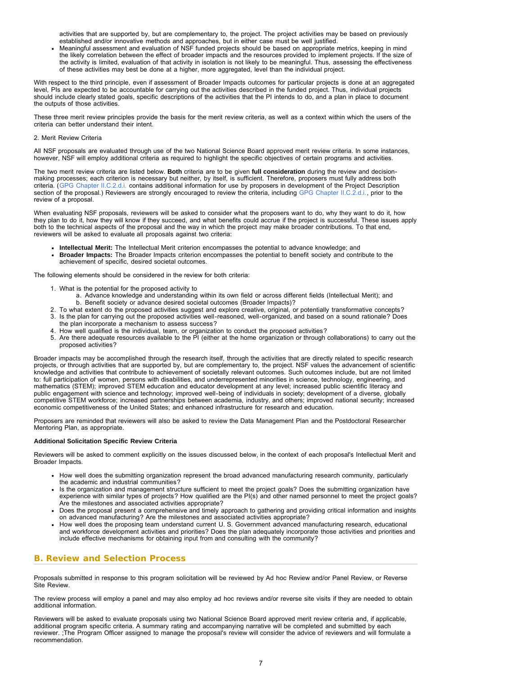activities that are supported by, but are complementary to, the project. The project activities may be based on previously established and/or innovative methods and approaches, but in either case must be well justified.

Meaningful assessment and evaluation of NSF funded projects should be based on appropriate metrics, keeping in mind the likely correlation between the effect of broader impacts and the resources provided to implement projects. If the size of the activity is limited, evaluation of that activity in isolation is not likely to be meaningful. Thus, assessing the effectiveness of these activities may best be done at a higher, more aggregated, level than the individual project.

With respect to the third principle, even if assessment of Broader Impacts outcomes for particular projects is done at an aggregated level, PIs are expected to be accountable for carrying out the activities described in the funded project. Thus, individual projects should include clearly stated goals, specific descriptions of the activities that the PI intends to do, and a plan in place to document the outputs of those activities.

These three merit review principles provide the basis for the merit review criteria, as well as a context within which the users of the criteria can better understand their intent.

#### 2. Merit Review Criteria

All NSF proposals are evaluated through use of the two National Science Board approved merit review criteria. In some instances, however, NSF will employ additional criteria as required to highlight the specific objectives of certain programs and activities.

The two merit review criteria are listed below. **Both** criteria are to be given **full consideration** during the review and decisionmaking processes; each criterion is necessary but neither, by itself, is sufficient. Therefore, proposers must fully address both criteria. ([GPG Chapter II.C.2.d.i.](http://www.nsf.gov/pubs/policydocs/pappguide/nsf15001/gpg_2.jsp#IIC2di) contains additional information for use by proposers in development of the Project Description section of the proposal.) Reviewers are strongly encouraged to review the criteria, including [GPG Chapter II.C.2.d.i.,](http://www.nsf.gov/pubs/policydocs/pappguide/nsf15001/gpg_2.jsp#IIC2di) prior to the review of a proposal.

When evaluating NSF proposals, reviewers will be asked to consider what the proposers want to do, why they want to do it, how they plan to do it, how they will know if they succeed, and what benefits could accrue if the project is successful. These issues apply both to the technical aspects of the proposal and the way in which the project may make broader contributions. To that end, reviewers will be asked to evaluate all proposals against two criteria:

- **Intellectual Merit:** The Intellectual Merit criterion encompasses the potential to advance knowledge; and
- **Broader Impacts:** The Broader Impacts criterion encompasses the potential to benefit society and contribute to the achievement of specific, desired societal outcomes.

The following elements should be considered in the review for both criteria:

- 1. What is the potential for the proposed activity to
	- a. Advance knowledge and understanding within its own field or across different fields (Intellectual Merit); and b. Benefit society or advance desired societal outcomes (Broader Impacts)?
- 2. To what extent do the proposed activities suggest and explore creative, original, or potentially transformative concepts?
- 3. Is the plan for carrying out the proposed activities well-reasoned, well-organized, and based on a sound rationale? Does the plan incorporate a mechanism to assess success?
- 4. How well qualified is the individual, team, or organization to conduct the proposed activities?
- 5. Are there adequate resources available to the PI (either at the home organization or through collaborations) to carry out the proposed activities?

Broader impacts may be accomplished through the research itself, through the activities that are directly related to specific research projects, or through activities that are supported by, but are complementary to, the project. NSF values the advancement of scientific knowledge and activities that contribute to achievement of societally relevant outcomes. Such outcomes include, but are not limited to: full participation of women, persons with disabilities, and underrepresented minorities in science, technology, engineering, and mathematics (STEM); improved STEM education and educator development at any level; increased public scientific literacy and public engagement with science and technology; improved well-being of individuals in society; development of a diverse, globally competitive STEM workforce; increased partnerships between academia, industry, and others; improved national security; increased economic competitiveness of the United States; and enhanced infrastructure for research and education.

Proposers are reminded that reviewers will also be asked to review the Data Management Plan and the Postdoctoral Researcher Mentoring Plan, as appropriate.

### **Additional Solicitation Specific Review Criteria**

Reviewers will be asked to comment explicitly on the issues discussed below, in the context of each proposal's Intellectual Merit and Broader Impacts.

- How well does the submitting organization represent the broad advanced manufacturing research community, particularly the academic and industrial communities?
- Is the organization and management structure sufficient to meet the project goals? Does the submitting organization have experience with similar types of projects? How qualified are the PI(s) and other named personnel to meet the project goals? Are the milestones and associated activities appropriate?
- Does the proposal present a comprehensive and timely approach to gathering and providing critical information and insights on advanced manufacturing? Are the milestones and associated activities appropriate?
- How well does the proposing team understand current U. S. Government advanced manufacturing research, educational and workforce development activities and priorities? Does the plan adequately incorporate those activities and priorities and include effective mechanisms for obtaining input from and consulting with the community?

# <span id="page-6-0"></span>**B. Review and Selection Process**

Proposals submitted in response to this program solicitation will be reviewed by Ad hoc Review and/or Panel Review, or Reverse Site Review.

The review process will employ a panel and may also employ ad hoc reviews and/or reverse site visits if they are needed to obtain additional information.

Reviewers will be asked to evaluate proposals using two National Science Board approved merit review criteria and, if applicable, additional program specific criteria. A summary rating and accompanying narrative will be completed and submitted by each reviewer. ;The Program Officer assigned to manage the proposal's review will consider the advice of reviewers and will formulate a recommendation.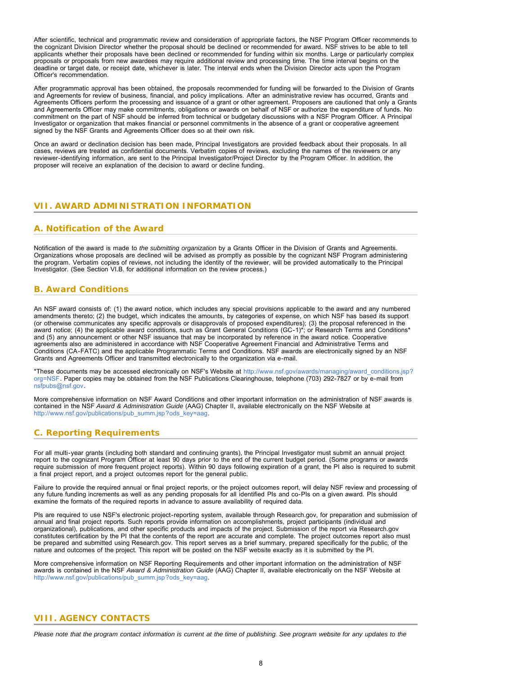After scientific, technical and programmatic review and consideration of appropriate factors, the NSF Program Officer recommends to the cognizant Division Director whether the proposal should be declined or recommended for award. NSF strives to be able to tell applicants whether their proposals have been declined or recommended for funding within six months. Large or particularly complex proposals or proposals from new awardees may require additional review and processing time. The time interval begins on the deadline or target date, or receipt date, whichever is later. The interval ends when the Division Director acts upon the Program Officer's recommendation.

After programmatic approval has been obtained, the proposals recommended for funding will be forwarded to the Division of Grants and Agreements for review of business, financial, and policy implications. After an administrative review has occurred, Grants and Agreements Officers perform the processing and issuance of a grant or other agreement. Proposers are cautioned that only a Grants and Agreements Officer may make commitments, obligations or awards on behalf of NSF or authorize the expenditure of funds. No commitment on the part of NSF should be inferred from technical or budgetary discussions with a NSF Program Officer. A Principal Investigator or organization that makes financial or personnel commitments in the absence of a grant or cooperative agreement signed by the NSF Grants and Agreements Officer does so at their own risk.

Once an award or declination decision has been made, Principal Investigators are provided feedback about their proposals. In all cases, reviews are treated as confidential documents. Verbatim copies of reviews, excluding the names of the reviewers or any reviewer-identifying information, are sent to the Principal Investigator/Project Director by the Program Officer. In addition, the proposer will receive an explanation of the decision to award or decline funding.

### <span id="page-7-0"></span>**VII. AWARD ADMINISTRATION INFORMATION**

### <span id="page-7-1"></span>**A. Notification of the Award**

Notification of the award is made to *the submitting organization* by a Grants Officer in the Division of Grants and Agreements. Organizations whose proposals are declined will be advised as promptly as possible by the cognizant NSF Program administering the program. Verbatim copies of reviews, not including the identity of the reviewer, will be provided automatically to the Principal Investigator. (See Section VI.B. for additional information on the review process.)

### <span id="page-7-2"></span>**B. Award Conditions**

An NSF award consists of: (1) the award notice, which includes any special provisions applicable to the award and any numbered amendments thereto; (2) the budget, which indicates the amounts, by categories of expense, on which NSF has based its support (or otherwise communicates any specific approvals or disapprovals of proposed expenditures); (3) the proposal referenced in the award notice; (4) the applicable award conditions, such as Grant General Conditions (GC-1)\*; or Research Terms and Conditions\* and (5) any announcement or other NSF issuance that may be incorporated by reference in the award notice. Cooperative agreements also are administered in accordance with NSF Cooperative Agreement Financial and Administrative Terms and Conditions (CA-FATC) and the applicable Programmatic Terms and Conditions. NSF awards are electronically signed by an NSF Grants and Agreements Officer and transmitted electronically to the organization via e-mail.

\*These documents may be accessed electronically on NSF's Website at [http://www.nsf.gov/awards/managing/award\\_conditions.jsp?](http://www.nsf.gov/awards/managing/award_conditions.jsp?org=NSF) [org=NSF.](http://www.nsf.gov/awards/managing/award_conditions.jsp?org=NSF) Paper copies may be obtained from the NSF Publications Clearinghouse, telephone (703) 292-7827 or by e-mail from [nsfpubs@nsf.gov.](mailto:nsfpubs@nsf.gov)

More comprehensive information on NSF Award Conditions and other important information on the administration of NSF awards is contained in the NSF *Award & Administration Guide* (AAG) Chapter II, available electronically on the NSF Website at [http://www.nsf.gov/publications/pub\\_summ.jsp?ods\\_key=aag.](http://www.nsf.gov/publications/pub_summ.jsp?ods_key=aag)

## <span id="page-7-3"></span>**C. Reporting Requirements**

For all multi-year grants (including both standard and continuing grants), the Principal Investigator must submit an annual project report to the cognizant Program Officer at least 90 days prior to the end of the current budget period. (Some programs or awards require submission of more frequent project reports). Within 90 days following expiration of a grant, the PI also is required to submit a final project report, and a project outcomes report for the general public.

Failure to provide the required annual or final project reports, or the project outcomes report, will delay NSF review and processing of any future funding increments as well as any pending proposals for all identified PIs and co-PIs on a given award. PIs should examine the formats of the required reports in advance to assure availability of required data.

PIs are required to use NSF's electronic project-reporting system, available through Research.gov, for preparation and submission of annual and final project reports. Such reports provide information on accomplishments, project participants (individual and organizational), publications, and other specific products and impacts of the project. Submission of the report via Research.gov constitutes certification by the PI that the contents of the report are accurate and complete. The project outcomes report also must be prepared and submitted using Research.gov. This report serves as a brief summary, prepared specifically for the public, of the nature and outcomes of the project. This report will be posted on the NSF website exactly as it is submitted by the PI.

More comprehensive information on NSF Reporting Requirements and other important information on the administration of NSF awards is contained in the NSF *Award & Administration Guide* (AAG) Chapter II, available electronically on the NSF Website at [http://www.nsf.gov/publications/pub\\_summ.jsp?ods\\_key=aag.](http://www.nsf.gov/publications/pub_summ.jsp?ods_key=aag)

## <span id="page-7-4"></span>**VIII. AGENCY CONTACTS**

*Please note that the program contact information is current at the time of publishing. See program website for any updates to the*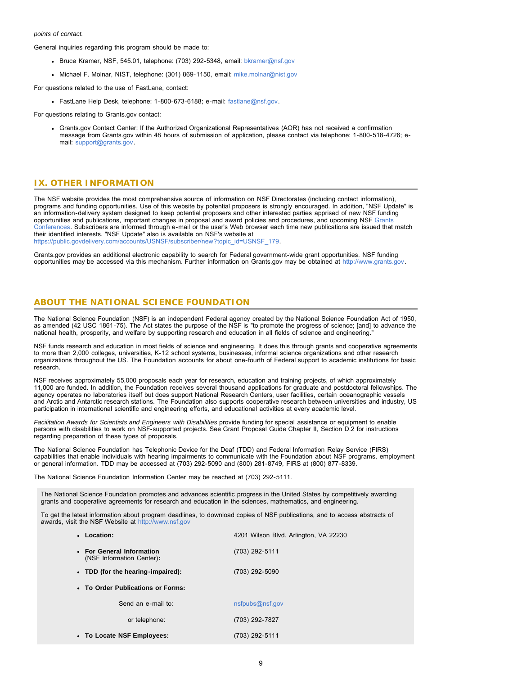#### *points of contact.*

General inquiries regarding this program should be made to:

- Bruce Kramer, NSF, 545.01, telephone: (703) 292-5348, email: [bkramer@nsf.gov](mailto:bkramer@nsf.gov)
- Michael F. Molnar, NIST, telephone: (301) 869-1150, email: [mike.molnar@nist.gov](mailto:mike.molnar@nist.gov)

For questions related to the use of FastLane, contact:

FastLane Help Desk, telephone: 1-800-673-6188; e-mail: [fastlane@nsf.gov.](mailto:fastlane@nsf.gov)

For questions relating to Grants.gov contact:

Grants.gov Contact Center: If the Authorized Organizational Representatives (AOR) has not received a confirmation message from Grants.gov within 48 hours of submission of application, please contact via telephone: 1-800-518-4726; email: [support@grants.gov.](mailto:support@grants.gov)

# <span id="page-8-0"></span>**IX. OTHER INFORMATION**

The NSF website provides the most comprehensive source of information on NSF Directorates (including contact information), programs and funding opportunities. Use of this website by potential proposers is strongly encouraged. In addition, "NSF Update" is an information-delivery system designed to keep potential proposers and other interested parties apprised of new NSF funding opportunities and publications, important changes in proposal and award policies and procedures, and upcoming NSF [Grants](http://www.nsf.gov/bfa/dias/policy/outreach.jsp) [Conferences.](http://www.nsf.gov/bfa/dias/policy/outreach.jsp) Subscribers are informed through e-mail or the user's Web browser each time new publications are issued that match their identified interests. "NSF Update" also is available on NSF's website at [https://public.govdelivery.com/accounts/USNSF/subscriber/new?topic\\_id=USNSF\\_179.](https://www.nsf.gov/cgi-bin/good-bye?https://public.govdelivery.com/accounts/USNSF/subscriber/new?topic_id=USNSF_179)

Grants.gov provides an additional electronic capability to search for Federal government-wide grant opportunities. NSF funding opportunities may be accessed via this mechanism. Further information on Grants.gov may be obtained at [http://www.grants.gov.](http://www.grants.gov/)

### **ABOUT THE NATIONAL SCIENCE FOUNDATION**

The National Science Foundation (NSF) is an independent Federal agency created by the National Science Foundation Act of 1950, as amended (42 USC 1861-75). The Act states the purpose of the NSF is "to promote the progress of science; [and] to advance the national health, prosperity, and welfare by supporting research and education in all fields of science and engineering."

NSF funds research and education in most fields of science and engineering. It does this through grants and cooperative agreements to more than 2,000 colleges, universities, K-12 school systems, businesses, informal science organizations and other research organizations throughout the US. The Foundation accounts for about one-fourth of Federal support to academic institutions for basic research.

NSF receives approximately 55,000 proposals each year for research, education and training projects, of which approximately 11,000 are funded. In addition, the Foundation receives several thousand applications for graduate and postdoctoral fellowships. The agency operates no laboratories itself but does support National Research Centers, user facilities, certain oceanographic vessels and Arctic and Antarctic research stations. The Foundation also supports cooperative research between universities and industry, US participation in international scientific and engineering efforts, and educational activities at every academic level.

*Facilitation Awards for Scientists and Engineers with Disabilities* provide funding for special assistance or equipment to enable persons with disabilities to work on NSF-supported projects. See Grant Proposal Guide Chapter II, Section D.2 for instructions regarding preparation of these types of proposals.

The National Science Foundation has Telephonic Device for the Deaf (TDD) and Federal Information Relay Service (FIRS) capabilities that enable individuals with hearing impairments to communicate with the Foundation about NSF programs, employment or general information. TDD may be accessed at (703) 292-5090 and (800) 281-8749, FIRS at (800) 877-8339.

The National Science Foundation Information Center may be reached at (703) 292-5111.

The National Science Foundation promotes and advances scientific progress in the United States by competitively awarding grants and cooperative agreements for research and education in the sciences, mathematics, and engineering.

To get the latest information about program deadlines, to download copies of NSF publications, and to access abstracts of awards, visit the NSF Website at [http://www.nsf.gov](http://www.nsf.gov/)

| • Location:                                            | 4201 Wilson Blvd. Arlington, VA 22230 |
|--------------------------------------------------------|---------------------------------------|
| • For General Information<br>(NSF Information Center): | (703) 292-5111                        |
| • TDD (for the hearing-impaired):                      | (703) 292-5090                        |
| • To Order Publications or Forms:                      |                                       |
| Send an e-mail to:                                     | nsfpubs@nsf.gov                       |
| or telephone:                                          | (703) 292-7827                        |
| • To Locate NSF Employees:                             | (703) 292-5111                        |